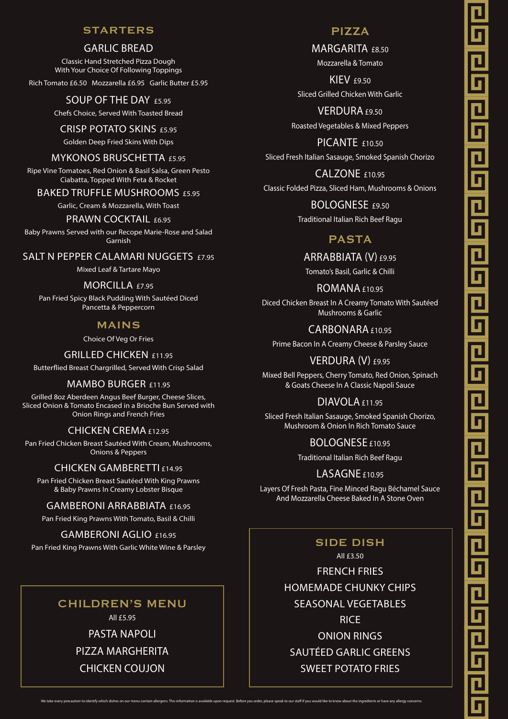### STARTERS

### GARLIC BREAD

Classic Hand Stretched Pizza Dough With Your Choice Of Following Toppings

Rich Tomato £6.50 Mozzarella £6.95 Garlic Butter £5.95

## SOUP OF THE DAY £5.95

Chefs Choice, Served With Toasted Bread

### CRISP POTATO SKINS £5.95

Golden Deep Fried Skins With Dips

### MYKONOS BRUSCHETTA £5.95

Ripe Vine Tomatoes, Red Onion & Basil Salsa, Green Pesto Ciabatta, Topped With Feta & Rocket

### BAKED TRUFFLE MUSHROOMS £5.95

Garlic, Cream & Mozzarella, With Toast

### PRAWN COCKTAIL  $f6.95$

Baby Prawns Served with our Recope Marie-Rose and Salad Garnish

SALT N PEPPER CALAMARI NUGGETS £7.95

Mixed Leaf & Tartare Mayo

### MORCILLA £7.95

Pan Fried Spicy Black Pudding With Sautéed Diced Pancetta & Peppercorn

### MAINS

Choice Of Veg Or Fries

#### GRILLED CHICKEN £11.95

Butterflied Breast Chargrilled, Served With Crisp Salad

### MAMBO BURGER £11.95

Grilled 8oz Aberdeen Angus Beef Burger, Cheese Slices, Sliced Onion & Tomato Encased in a Brioche Bun Served with Onion Rings and French Fries

### CHICKEN CREMA £12.95

Pan Fried Chicken Breast Sautéed With Cream, Mushrooms, Onions & Peppers

#### CHICKEN GAMBERETTI £14.95

Pan Fried Chicken Breast Sautéed With King Prawns & Baby Prawns In Creamy Lobster Bisque

### GAMBERONI ARRABBIATA £16.95

Pan Fried King Prawns With Tomato, Basil & Chilli

### GAMBERONI AGLIO £16.95

Pan Fried King Prawns With Garlic White Wine & Parsley

# CHILDREN'S MENU

All £5.95

PASTA NAPOLI PIZZA MARGHERITA CHICKEN COUJON

# PIZZA

MARGARITA £8.50 Mozzarella & Tomato

**KIEV £9.50** Sliced Grilled Chicken With Garlic

VERDURA £9.50 Roasted Vegetables & Mixed Peppers

PICANTE  $f10.50$ Sliced Fresh Italian Sasauge, Smoked Spanish Chorizo

CALZONE £10.95 Classic Folded Pizza, Sliced Ham, Mushrooms & Onions

> BOLOGNESE £9.50 Traditional Italian Rich Beef Ragu

# PASTA

ARRABBIATA (V) £9.95

Tomato's Basil, Garlic & Chilli

ROMANA £10.95

Diced Chicken Breast In A Creamy Tomato With Sautéed Mushrooms & Garlic

CARBONARA £10.95

Prime Bacon In A Creamy Cheese & Parsley Sauce

VERDURA (V) £9.95

Mixed Bell Peppers, Cherry Tomato, Red Onion, Spinach & Goats Cheese In A Classic Napoli Sauce

## DIAVOLA £11.95

Sliced Fresh Italian Sasauge, Smoked Spanish Chorizo, Mushroom & Onion In Rich Tomato Sauce

> BOLOGNESE £10.95 Traditional Italian Rich Beef Ragu

### $LASAGNEf10.95$

Layers Of Fresh Pasta, Fine Minced Ragu Béchamel Sauce And Mozzarella Cheese Baked In A Stone Oven

> SIDE DISH All £3.50 FRENCH FRIES HOMEMADE CHUNKY CHIPS SEASONAL VEGETABLES **RICE** ONION RINGS SAUTÉED GARLIC GREENS SWEET POTATO FRIES